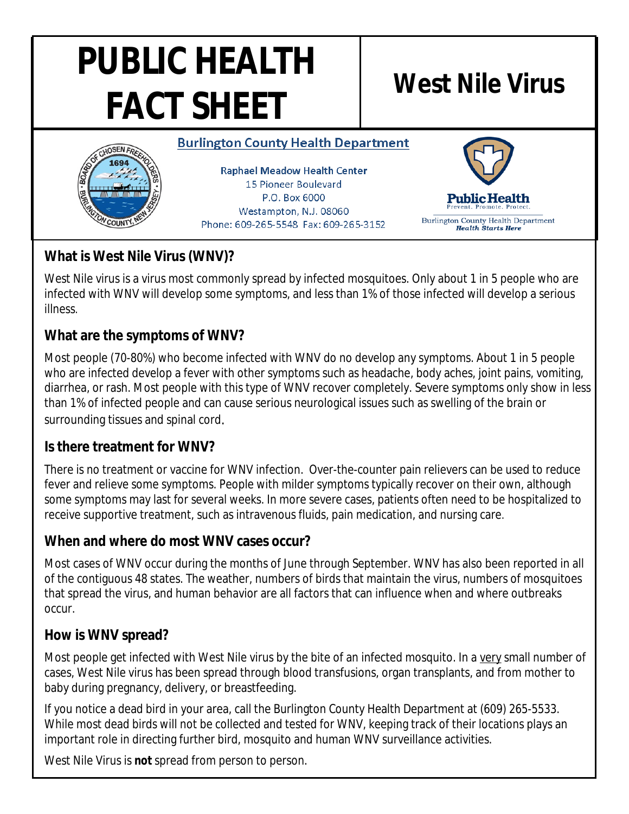# **PUBLIC HEALTH FACT SHEET West Nile Virus**

#### **Burlington County Health Department**



**Raphael Meadow Health Center** 15 Pioneer Boulevard P.O. Box 6000 Westampton, N.J. 08060 Phone: 609-265-5548 Fax: 609-265-3152



**Burlington County Health Department Health Starts Here** 

## **What is West Nile Virus (WNV)?**

West Nile virus is a virus most commonly spread by infected mosquitoes. Only about 1 in 5 people who are infected with WNV will develop some symptoms, and less than 1% of those infected will develop a serious illness.

### **What are the symptoms of WNV?**

Most people (70-80%) who become infected with WNV do no develop any symptoms. About 1 in 5 people who are infected develop a fever with other symptoms such as headache, body aches, joint pains, vomiting, diarrhea, or rash. Most people with this type of WNV recover completely. Severe symptoms only show in less than 1% of infected people and can cause serious neurological issues such as swelling of the brain or surrounding tissues and spinal cord.

#### **Is there treatment for WNV?**

There is no treatment or vaccine for WNV infection. Over-the-counter pain relievers can be used to reduce fever and relieve some symptoms. People with milder symptoms typically recover on their own, although some symptoms may last for several weeks. In more severe cases, patients often need to be hospitalized to receive supportive treatment, such as intravenous fluids, pain medication, and nursing care.

#### **When and where do most WNV cases occur?**

Most cases of WNV occur during the months of June through September. WNV has also been reported in all of the contiguous 48 states. The weather, numbers of birds that maintain the virus, numbers of mosquitoes that spread the virus, and human behavior are all factors that can influence when and where outbreaks occur.

#### **How is WNV spread?**

Most people get infected with West Nile virus by the bite of an infected mosquito. In a very small number of cases, West Nile virus has been spread through blood transfusions, organ transplants, and from mother to baby during pregnancy, delivery, or breastfeeding.

If you notice a dead bird in your area, call the Burlington County Health Department at (609) 265-5533. While most dead birds will not be collected and tested for WNV, keeping track of their locations plays an important role in directing further bird, mosquito and human WNV surveillance activities.

West Nile Virus is **not** spread from person to person.